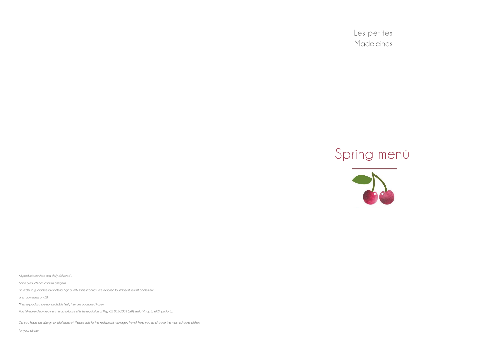*All products are fresh and daily delivered ..* 

*Some products can contain allergens.*

*° In order to guarantee raw material high quality some products are exposed to temperature fast abatement* 

*and conserved at –18.*

*\*If some products are not available fresh, they are purchased frozen.*

*Raw fish have clean treatment in compliance with the regulation of Reg. CE 853/2004 (all.III, sezio VII, ap.3, lett.D, punto 3).*

Les petites Madeleines



*Do you have an allergy or intolerance? Please talk to the restaurant manager, he will help you to choose the most suitable dishes* 

*for your dinner*